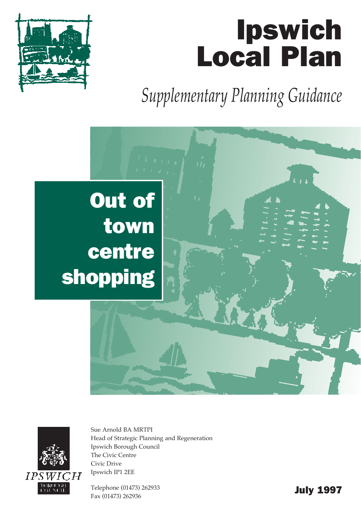# Ipswich Local Plan



*Supplementary Planning Guidance*





Sue Arnold BA MRTPI Head of Strategic Planning and Regeneration Ipswich Borough Council The Civic Centre Civic Drive Ipswich IP1 2EE

Telephone (01473) 262933 Telephone (01473) 262933<br>Fax (01473) 262936 **July 1997**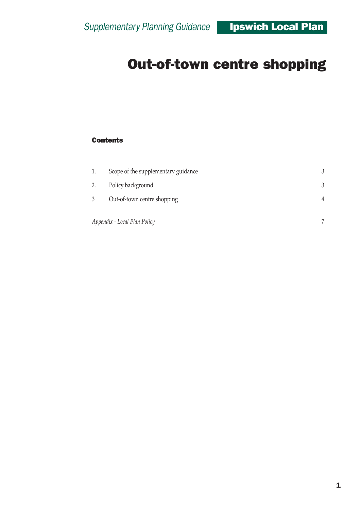#### **Contents**

| 1.                           | Scope of the supplementary guidance |   |
|------------------------------|-------------------------------------|---|
| 2.                           | Policy background                   | 3 |
|                              | Out-of-town centre shopping         | 4 |
| Appendix - Local Plan Policy |                                     | 7 |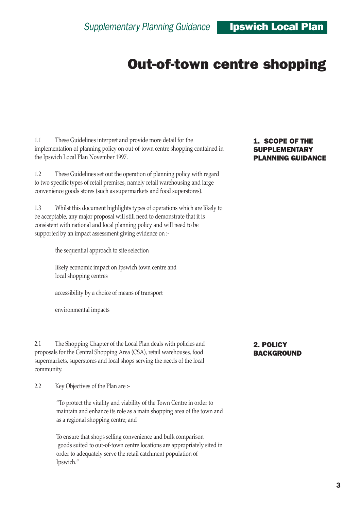1.1 These Guidelines interpret and provide more detail for the implementation of planning policy on out-of-town centre shopping contained in the Ipswich Local Plan November 1997.

1.2 These Guidelines set out the operation of planning policy with regard to two specific types of retail premises, namely retail warehousing and large convenience goods stores (such as supermarkets and food superstores).

1.3 Whilst this document highlights types of operations which are likely to be acceptable, any major proposal will still need to demonstrate that it is consistent with national and local planning policy and will need to be supported by an impact assessment giving evidence on :-

the sequential approach to site selection

likely economic impact on Ipswich town centre and local shopping centres

accessibility by a choice of means of transport

environmental impacts

2.1 The Shopping Chapter of the Local Plan deals with policies and proposals for the Central Shopping Area (CSA), retail warehouses, food supermarkets, superstores and local shops serving the needs of the local community.

2.2 Key Objectives of the Plan are :-

ìTo protect the vitality and viability of the Town Centre in order to maintain and enhance its role as a main shopping area of the town and as a regional shopping centre; and

To ensure that shops selling convenience and bulk comparison goods suited to out-of-town centre locations are appropriately sited in order to adequately serve the retail catchment population of Ipswich."

#### 1. SCOPE OF THE SUPPLEMENTARY PLANNING GUIDANCE

#### 2. POLICY BACKGROUND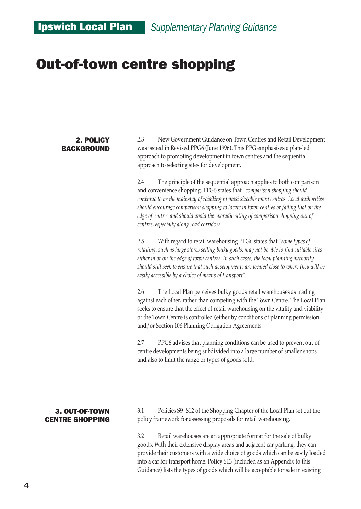#### 2. POLICY **BACKGROUND**

2.3 New Government Guidance on Town Centres and Retail Development was issued in Revised PPG6 (June 1996). This PPG emphasises a plan-led approach to promoting development in town centres and the sequential approach to selecting sites for development.

2.4 The principle of the sequential approach applies to both comparison and convenience shopping. PPG6 states that *ìcomparison shopping should continue to be the mainstay of retailing in most sizeable town centres. Local authorities should encourage comparison shopping to locate in town centres or failing that on the edge of centres and should avoid the sporadic siting of comparison shopping out of centres, especially along road corridors.î* 

2.5 With regard to retail warehousing PPG6 states that *ìsome types of retailing, such as large stores selling bulky goods, may not be able to find suitable sites either in or on the edge of town centres. In such cases, the local planning authority should still seek to ensure that such developments are located close to where they will be easily accessible by a choice of means of transport"*.

2.6 The Local Plan perceives bulky goods retail warehouses as trading against each other, rather than competing with the Town Centre. The Local Plan seeks to ensure that the effect of retail warehousing on the vitality and viability of the Town Centre is controlled (either by conditions of planning permission and/or Section 106 Planning Obligation Agreements.

2.7 PPG6 advises that planning conditions can be used to prevent out-ofcentre developments being subdivided into a large number of smaller shops and also to limit the range or types of goods sold.

#### 3. OUT-OF-TOWN CENTRE SHOPPING

3.1 Policies S9 -S12 of the Shopping Chapter of the Local Plan set out the policy framework for assessing proposals for retail warehousing.

3.2 Retail warehouses are an appropriate format for the sale of bulky goods. With their extensive display areas and adjacent car parking, they can provide their customers with a wide choice of goods which can be easily loaded into a car for transport home. Policy S13 (included as an Appendix to this Guidance) lists the types of goods which will be acceptable for sale in existing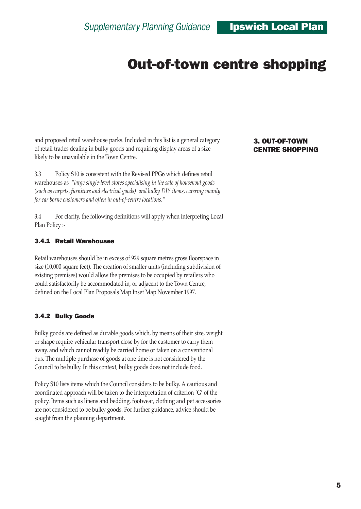and proposed retail warehouse parks. Included in this list is a general category of retail trades dealing in bulky goods and requiring display areas of a size likely to be unavailable in the Town Centre.

3.3 Policy S10 is consistent with the Revised PPG6 which defines retail warehouses as *ìlarge single-level stores specialising in the sale of household goods (such as carpets, furniture and electrical goods) and bulky DIY items, catering mainly* for car borne customers and often in out-of-centre locations.<sup>"</sup>

3.4 For clarity, the following definitions will apply when interpreting Local Plan Policy :-

#### 3.4.1 Retail Warehouses

Retail warehouses should be in excess of 929 square metres gross floorspace in size (10,000 square feet). The creation of smaller units (including subdivision of existing premises) would allow the premises to be occupied by retailers who could satisfactorily be accommodated in, or adjacent to the Town Centre, defined on the Local Plan Proposals Map Inset Map November 1997.

#### 3.4.2 Bulky Goods

Bulky goods are defined as durable goods which, by means of their size, weight or shape require vehicular transport close by for the customer to carry them away, and which cannot readily be carried home or taken on a conventional bus. The multiple purchase of goods at one time is not considered by the Council to be bulky. In this context, bulky goods does not include food.

Policy S10 lists items which the Council considers to be bulky. A cautious and coordinated approach will be taken to the interpretation of criterion `G' of the policy. Items such as linens and bedding, footwear, clothing and pet accessories are not considered to be bulky goods. For further guidance, advice should be sought from the planning department.

#### 3. OUT-OF-TOWN CENTRE SHOPPING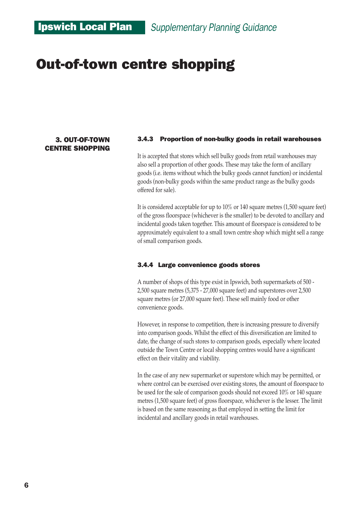### Ipswich Local Plan *Supplementary Planning Guidance*

### Out-of-town centre shopping

#### 3. OUT-OF-TOWN CENTRE SHOPPING

#### 3.4.3 Proportion of non-bulky goods in retail warehouses

It is accepted that stores which sell bulky goods from retail warehouses may also sell a proportion of other goods. These may take the form of ancillary goods (i.e. items without which the bulky goods cannot function) or incidental goods (non-bulky goods within the same product range as the bulky goods offered for sale).

It is considered acceptable for up to 10% or 140 square metres (1,500 square feet) of the gross floorspace (whichever is the smaller) to be devoted to ancillary and incidental goods taken together. This amount of floorspace is considered to be approximately equivalent to a small town centre shop which might sell a range of small comparison goods.

#### 3.4.4 Large convenience goods stores

A number of shops of this type exist in Ipswich, both supermarkets of 500 - 2,500 square metres (5,375 - 27,000 square feet) and superstores over 2,500 square metres (or 27,000 square feet). These sell mainly food or other convenience goods.

However, in response to competition, there is increasing pressure to diversify into comparison goods. Whilst the effect of this diversification are limited to date, the change of such stores to comparison goods, especially where located outside the Town Centre or local shopping centres would have a significant effect on their vitality and viability.

In the case of any new supermarket or superstore which may be permitted, or where control can be exercised over existing stores, the amount of floorspace to be used for the sale of comparison goods should not exceed 10% or 140 square metres (1,500 square feet) of gross floorspace, whichever is the lesser. The limit is based on the same reasoning as that employed in setting the limit for incidental and ancillary goods in retail warehouses.